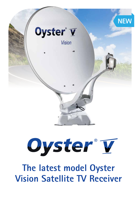

# Oyster®T

## **The latest model Oyster Vision Satellite TV Receiver**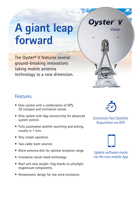# **A giant leap forward**

The Oyster® V features several ground-breaking innovations taking mobile antenna technology to a new dimension.

### Features

- Only system with a combination of GPS, 3D compass and inclination sensor.
- Only system with App connectivity for advanced system control.
- Fully automated satellite searching and aiming, usually in 1 turn.
- Very simple operation
- Two-cable loom solution
- 85cm antenna dish for optimal reception range.
- Innovative swivel-head technology
- Roof unit only weighs 11kg thanks to ultralight magnesium components.
- Aerodynamic design for low wind resistance.



Oyster® V

**Vision** 

*Extremely Fast Satellite Acquisition via GPS*



*Update software easily via the new mobile App*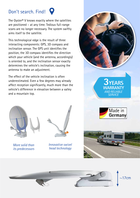## Don't search. Find!

The Oyster® V knows exactly where the satellites are positioned – at any time. Tedious full-range scans are no longer necessary. The system swiftly aims itself to the satellite.

This technological edge is the result of three interacting components: GPS, 3D compass and inclination sensor. The GPS unit identifies the position, the 3D compass identifies the direction which your vehicle (and the antenna, accordingly) is oriented to, and the inclination sensor exactly determines the vehicle's inclination, causing the antenna to make an adjustment.

The effect of the vehicle inclination is often underestimated. Even a few degrees may already affect reception significantly, much more than the vehicle's difference in elevation between a valley and a mountain top.



*More solid than its predecessors*



*Innovative swivel head technology*